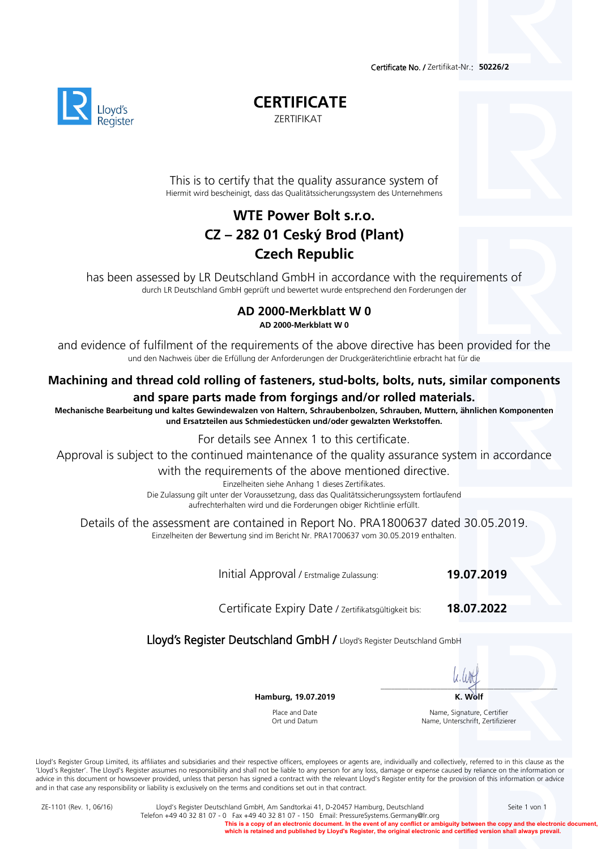Certificate No. / Zertifikat-Nr.: **50226/2** 



**CERTIFICATE** 

ZERTIFIKAT

This is to certify that the quality assurance system of Hiermit wird bescheinigt, dass das Qualitätssicherungssystem des Unternehmens

# **WTE Power Bolt s.r.o. CZ – 282 01 Ceský Brod (Plant) Czech Republic**

has been assessed by LR Deutschland GmbH in accordance with the requirements of durch LR Deutschland GmbH geprüft und bewertet wurde entsprechend den Forderungen der

### **AD 2000-Merkblatt W 0 AD 2000-Merkblatt W 0**

and evidence of fulfilment of the requirements of the above directive has been provided for the und den Nachweis über die Erfüllung der Anforderungen der Druckgeräterichtlinie erbracht hat für die

## **Machining and thread cold rolling of fasteners, stud-bolts, bolts, nuts, similar components and spare parts made from forgings and/or rolled materials.**

**Mechanische Bearbeitung und kaltes Gewindewalzen von Haltern, Schraubenbolzen, Schrauben, Muttern, ähnlichen Komponenten und Ersatzteilen aus Schmiedestücken und/oder gewalzten Werkstoffen.** 

For details see Annex 1 to this certificate.

Approval is subject to the continued maintenance of the quality assurance system in accordance

with the requirements of the above mentioned directive.<br>Einzelheiten siehe Anhang 1 dieses Zertifikates.

Die Zulassung gilt unter der Voraussetzung, dass das Qualitätssicherungssystem fortlaufend aufrechterhalten wird und die Forderungen obiger Richtlinie erfüllt.

Details of the assessment are contained in Report No. PRA1800637 dated 30.05.2019. Einzelheiten der Bewertung sind im Bericht Nr. PRA1700637 vom 30.05.2019 enthalten.

Initial Approval / Erstmalige Zulassung: **19.07.2019**

Certificate Expiry Date / Zertifikatsgültigkeit bis: **18.07.2022**

Lloyd's Register Deutschland GmbH / Lloyd's Register Deutschland GmbH

 $\overline{\phantom{a}}$ 

**Hamburg, 19.07.2019** K. Wolf

Place and Date Ort und Datum

Name, Signature, Certifier Name, Unterschrift, Zertifizierer

Lloyd's Register Group Limited, its affiliates and subsidiaries and their respective officers, employees or agents are, individually and collectively, referred to in this clause as the 'Lloyd's Register'. The Lloyd's Register assumes no responsibility and shall not be liable to any person for any loss, damage or expense caused by reliance on the information or advice in this document or howsoever provided, unless that person has signed a contract with the relevant Lloyd's Register entity for the provision of this information or advice and in that case any responsibility or liability is exclusively on the terms and conditions set out in that contract.